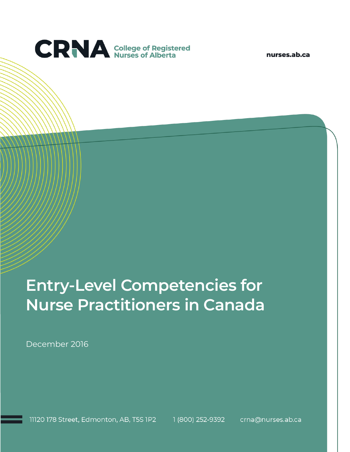

nurses.ab.ca

# **Entry-Level Competencies for Nurse Practitioners in Canada**

December 2016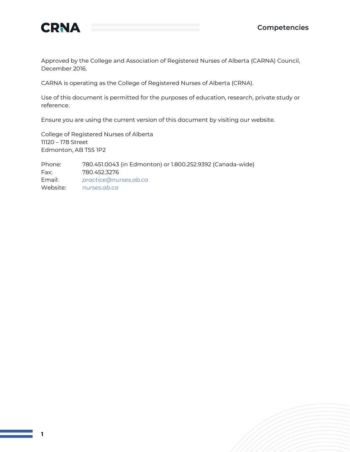

Approved by the College and Association of Registered Nurses of Alberta (CARNA) Council, December 2016.

CARNA is operating as the College of Registered Nurses of Alberta (CRNA).

Use of this document is permitted for the purposes of education, research, private study or reference.

Ensure you are using the current version of this document by visiting our website.

College of Registered Nurses of Alberta 11120 – 178 Street Edmonton, AB T5S 1P2

Phone: 780.451.0043 (in Edmonton) or 1.800.252.9392 (Canada-wide) Fax: 780.452.3276 Email: *[practice@nurses.ab.ca](mailto:practice@nurses.ab.ca)* Website: *[nurses.ab.ca](http://www.nurses.ab.ca/)*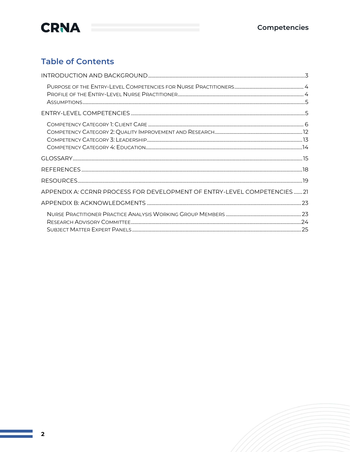

### **Table of Contents**

| APPENDIX A: CCRNR PROCESS FOR DEVELOPMENT OF ENTRY-LEVEL COMPETENCIES  21 |  |
|---------------------------------------------------------------------------|--|
|                                                                           |  |
|                                                                           |  |
|                                                                           |  |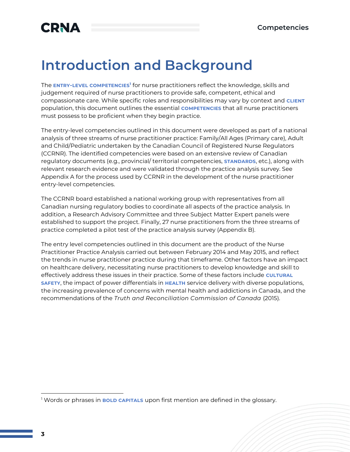## <span id="page-3-0"></span>**Introduction and Background**

The **ENTRY-LEVEL COMPETENCIES<sup>1</sup>** for nurse practitioners reflect the knowledge, skills and judgement required of nurse practitioners to provide safe, competent, ethical and compassionate care. While specific roles and responsibilities may vary by context and **CLIENT**  population, this document outlines the essential **COMPETENCIES** that all nurse practitioners must possess to be proficient when they begin practice.

The entry-level competencies outlined in this document were developed as part of a national analysis of three streams of nurse practitioner practice: Family/All Ages (Primary care), Adult and Child/Pediatric undertaken by the Canadian Council of Registered Nurse Regulators (CCRNR). The identified competencies were based on an extensive review of Canadian regulatory documents (e.g., provincial/ territorial competencies, **STANDARDS**, etc.), along with relevant research evidence and were validated through the practice analysis survey. See Appendix A for the process used by CCRNR in the development of the nurse practitioner entry-level competencies.

The CCRNR board established a national working group with representatives from all Canadian nursing regulatory bodies to coordinate all aspects of the practice analysis. In addition, a Research Advisory Committee and three Subject Matter Expert panels were established to support the project. Finally, 27 nurse practitioners from the three streams of practice completed a pilot test of the practice analysis survey (Appendix B).

The entry level competencies outlined in this document are the product of the Nurse Practitioner Practice Analysis carried out between February 2014 and May 2015, and reflect the trends in nurse practitioner practice during that timeframe. Other factors have an impact on healthcare delivery, necessitating nurse practitioners to develop knowledge and skill to effectively address these issues in their practice. Some of these factors include **CULTURAL SAFETY**, the impact of power differentials in **HEALTH** service delivery with diverse populations, the increasing prevalence of concerns with mental health and addictions in Canada, and the recommendations of the *Truth and Reconciliation Commission of Canada* (2015).

<sup>1</sup> Words or phrases in **BOLD CAPITALS** upon first mention are defined in the glossary.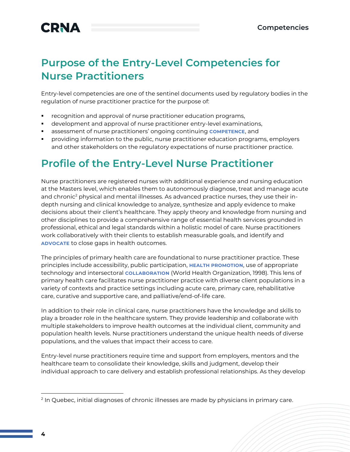### <span id="page-4-0"></span>**Purpose of the Entry-Level Competencies for Nurse Practitioners**

Entry-level competencies are one of the sentinel documents used by regulatory bodies in the regulation of nurse practitioner practice for the purpose of:

- recognition and approval of nurse practitioner education programs,
- development and approval of nurse practitioner entry-level examinations,
- assessment of nurse practitioners' ongoing continuing **COMPETENCE**, and
- providing information to the public, nurse practitioner education programs, employers and other stakeholders on the regulatory expectations of nurse practitioner practice.

### <span id="page-4-1"></span>**Profile of the Entry-Level Nurse Practitioner**

Nurse practitioners are registered nurses with additional experience and nursing education at the Masters level, which enables them to autonomously diagnose, treat and manage acute and chronic<sup>2</sup> physical and mental illnesses. As advanced practice nurses, they use their indepth nursing and clinical knowledge to analyze, synthesize and apply evidence to make decisions about their client's healthcare. They apply theory and knowledge from nursing and other disciplines to provide a comprehensive range of essential health services grounded in professional, ethical and legal standards within a holistic model of care. Nurse practitioners work collaboratively with their clients to establish measurable goals, and identify and **ADVOCATE** to close gaps in health outcomes.

The principles of primary health care are foundational to nurse practitioner practice. These principles include accessibility, public participation, **HEALTH PROMOTION**, use of appropriate technology and intersectoral **COLLABORATION** (World Health Organization, 1998). This lens of primary health care facilitates nurse practitioner practice with diverse client populations in a variety of contexts and practice settings including acute care, primary care, rehabilitative care, curative and supportive care, and palliative/end-of-life care.

In addition to their role in clinical care, nurse practitioners have the knowledge and skills to play a broader role in the healthcare system. They provide leadership and collaborate with multiple stakeholders to improve health outcomes at the individual client, community and population health levels. Nurse practitioners understand the unique health needs of diverse populations, and the values that impact their access to care.

Entry-level nurse practitioners require time and support from employers, mentors and the healthcare team to consolidate their knowledge, skills and judgment, develop their individual approach to care delivery and establish professional relationships. As they develop

<sup>2</sup> In Quebec, initial diagnoses of chronic illnesses are made by physicians in primary care.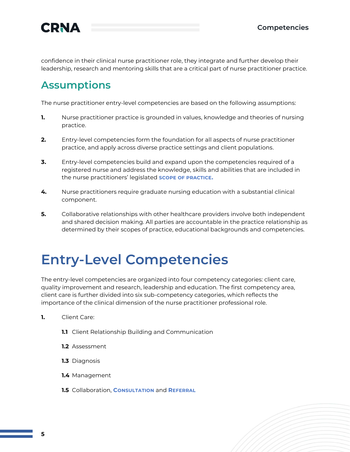

confidence in their clinical nurse practitioner role, they integrate and further develop their leadership, research and mentoring skills that are a critical part of nurse practitioner practice.

### <span id="page-5-0"></span>**Assumptions**

The nurse practitioner entry-level competencies are based on the following assumptions:

- **1.** Nurse practitioner practice is grounded in values, knowledge and theories of nursing practice.
- **2.** Entry-level competencies form the foundation for all aspects of nurse practitioner practice, and apply across diverse practice settings and client populations.
- **3.** Entry-level competencies build and expand upon the competencies required of a registered nurse and address the knowledge, skills and abilities that are included in the nurse practitioners' legislated **SCOPE OF PRACTICE.**
- **4.** Nurse practitioners require graduate nursing education with a substantial clinical component.
- **5.** Collaborative relationships with other healthcare providers involve both independent and shared decision making. All parties are accountable in the practice relationship as determined by their scopes of practice, educational backgrounds and competencies.

## <span id="page-5-1"></span>**Entry-Level Competencies**

The entry-level competencies are organized into four competency categories: client care, quality improvement and research, leadership and education. The first competency area, client care is further divided into six sub-competency categories, which reflects the importance of the clinical dimension of the nurse practitioner professional role.

- **1.** Client Care:
	- **1.1** Client Relationship Building and Communication
	- **1.2** Assessment
	- **1.3** Diagnosis
	- **1.4** Management
	- **1.5** Collaboration, **CONSULTATION** and **REFERRAL**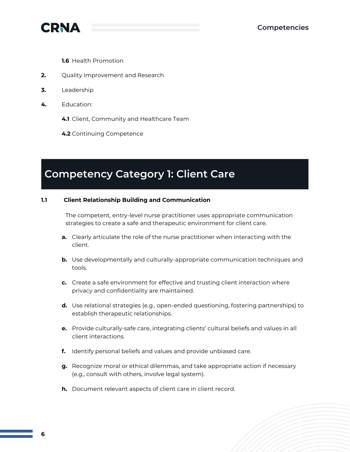

**1.6** Health Promotion

- **2.** Quality Improvement and Research
- **3.** Leadership
- **4.** Education:
	- **4.1** Client, Community and Healthcare Team
	- **4.2** Continuing Competence

### <span id="page-6-0"></span>**Competency Category 1: Client Care**

#### **1.1 Client Relationship Building and Communication**

The competent, entry-level nurse practitioner uses appropriate communication strategies to create a safe and therapeutic environment for client care.

- **a.** Clearly articulate the role of the nurse practitioner when interacting with the client.
- **b.** Use developmentally and culturally-appropriate communication techniques and tools.
- **c.** Create a safe environment for effective and trusting client interaction where privacy and confidentiality are maintained.
- **d.** Use relational strategies (e.g., open-ended questioning, fostering partnerships) to establish therapeutic relationships.
- **e.** Provide culturally-safe care, integrating clients' cultural beliefs and values in all client interactions.
- **f.** Identify personal beliefs and values and provide unbiased care.
- **g.** Recognize moral or ethical dilemmas, and take appropriate action if necessary (e.g., consult with others, involve legal system).
- **h.** Document relevant aspects of client care in client record.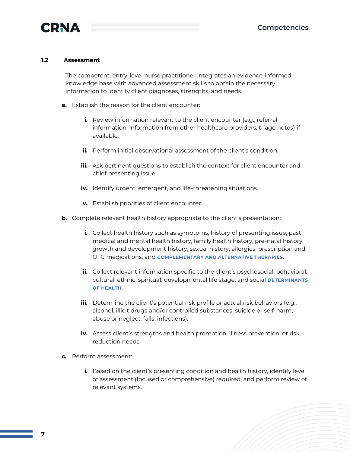

#### **1.2 Assessment**

The competent, entry-level nurse practitioner integrates an evidence-informed knowledge base with advanced assessment skills to obtain the necessary information to identify client diagnoses, strengths, and needs.

- **a.** Establish the reason for the client encounter:
	- **i.** Review information relevant to the client encounter (e.g., referral information, information from other healthcare providers, triage notes) if available.
	- **ii.** Perform initial observational assessment of the client's condition.
	- **iii.** Ask pertinent questions to establish the context for client encounter and chief presenting issue.
	- **iv.** Identify urgent, emergent, and life-threatening situations.
	- **v.** Establish priorities of client encounter.
- **b.** Complete relevant health history appropriate to the client's presentation:
	- **i.** Collect health history such as symptoms, history of presenting issue, past medical and mental health history, family health history, pre-natal history, growth and development history, sexual history, allergies, prescription and OTC medications, and **COMPLEMENTARY AND ALTERNATIVE THERAPIES**.
	- **ii.** Collect relevant information specific to the client's psychosocial, behavioral, cultural, ethnic, spiritual, developmental life stage, and social **DETERMINANTS OF HEALTH**.
	- **iii.** Determine the client's potential risk profile or actual risk behaviors (e.g., alcohol, illicit drugs and/or controlled substances, suicide or self-harm, abuse or neglect, falls, infections).
	- **iv.** Assess client's strengths and health promotion, illness prevention, or risk reduction needs.
- **c.** Perform assessment:
	- **i.** Based on the client's presenting condition and health history, identify level of assessment (focused or comprehensive) required, and perform review of relevant systems.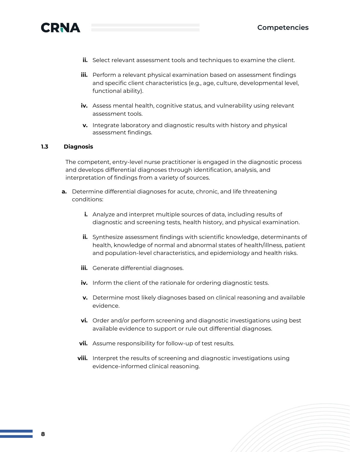

- **ii.** Select relevant assessment tools and techniques to examine the client.
- **iii.** Perform a relevant physical examination based on assessment findings and specific client characteristics (e.g., age, culture, developmental level, functional ability).
- **iv.** Assess mental health, cognitive status, and vulnerability using relevant assessment tools.
- **v.** Integrate laboratory and diagnostic results with history and physical assessment findings.

#### **1.3 Diagnosis**

The competent, entry-level nurse practitioner is engaged in the diagnostic process and develops differential diagnoses through identification, analysis, and interpretation of findings from a variety of sources.

- **a.** Determine differential diagnoses for acute, chronic, and life threatening conditions:
	- **i.** Analyze and interpret multiple sources of data, including results of diagnostic and screening tests, health history, and physical examination.
	- **ii.** Synthesize assessment findings with scientific knowledge, determinants of health, knowledge of normal and abnormal states of health/illness, patient and population-level characteristics, and epidemiology and health risks.
	- **iii.** Generate differential diagnoses.
	- **iv.** Inform the client of the rationale for ordering diagnostic tests.
	- **v.** Determine most likely diagnoses based on clinical reasoning and available evidence.
	- **vi.** Order and/or perform screening and diagnostic investigations using best available evidence to support or rule out differential diagnoses.
	- **vii.** Assume responsibility for follow-up of test results.
	- **viii.** Interpret the results of screening and diagnostic investigations using evidence-informed clinical reasoning.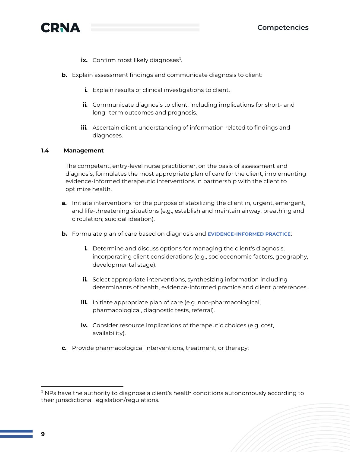

- **ix.** Confirm most likely diagnoses<sup>3</sup>.
- **b.** Explain assessment findings and communicate diagnosis to client:
	- **i.** Explain results of clinical investigations to client.
	- **ii.** Communicate diagnosis to client, including implications for short- and long- term outcomes and prognosis.
	- **iii.** Ascertain client understanding of information related to findings and diagnoses.

#### **1.4 Management**

The competent, entry-level nurse practitioner, on the basis of assessment and diagnosis, formulates the most appropriate plan of care for the client, implementing evidence-informed therapeutic interventions in partnership with the client to optimize health.

- **a.** Initiate interventions for the purpose of stabilizing the client in, urgent, emergent, and life-threatening situations (e.g., establish and maintain airway, breathing and circulation; suicidal ideation).
- **b.** Formulate plan of care based on diagnosis and **EVIDENCE-INFORMED PRACTICE**:
	- **i.** Determine and discuss options for managing the client's diagnosis, incorporating client considerations (e.g., socioeconomic factors, geography, developmental stage).
	- **ii.** Select appropriate interventions, synthesizing information including determinants of health, evidence-informed practice and client preferences.
	- **iii.** Initiate appropriate plan of care (e.g. non-pharmacological, pharmacological, diagnostic tests, referral).
	- **iv.** Consider resource implications of therapeutic choices (e.g. cost, availability).
- **c.** Provide pharmacological interventions, treatment, or therapy:

 $3$  NPs have the authority to diagnose a client's health conditions autonomously according to their jurisdictional legislation/regulations.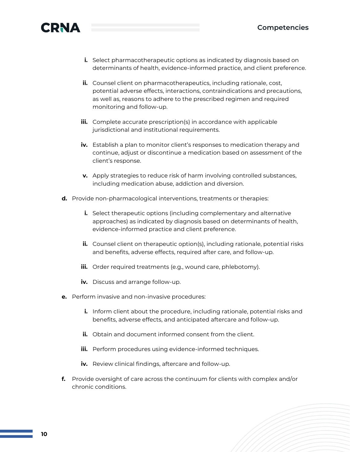

- **i.** Select pharmacotherapeutic options as indicated by diagnosis based on determinants of health, evidence-informed practice, and client preference.
- **ii.** Counsel client on pharmacotherapeutics, including rationale, cost, potential adverse effects, interactions, contraindications and precautions, as well as, reasons to adhere to the prescribed regimen and required monitoring and follow-up.
- **iii.** Complete accurate prescription(s) in accordance with applicable jurisdictional and institutional requirements.
- **iv.** Establish a plan to monitor client's responses to medication therapy and continue, adjust or discontinue a medication based on assessment of the client's response.
- **v.** Apply strategies to reduce risk of harm involving controlled substances, including medication abuse, addiction and diversion.
- **d.** Provide non-pharmacological interventions, treatments or therapies:
	- **i.** Select therapeutic options (including complementary and alternative approaches) as indicated by diagnosis based on determinants of health, evidence-informed practice and client preference.
	- **ii.** Counsel client on therapeutic option(s), including rationale, potential risks and benefits, adverse effects, required after care, and follow-up.
	- **iii.** Order required treatments (e.g., wound care, phlebotomy).
	- **iv.** Discuss and arrange follow-up.
- **e.** Perform invasive and non-invasive procedures:
	- **i.** Inform client about the procedure, including rationale, potential risks and benefits, adverse effects, and anticipated aftercare and follow-up.
	- **ii.** Obtain and document informed consent from the client.
	- **iii.** Perform procedures using evidence-informed techniques.
	- **iv.** Review clinical findings, aftercare and follow-up.
- **f.** Provide oversight of care across the continuum for clients with complex and/or chronic conditions.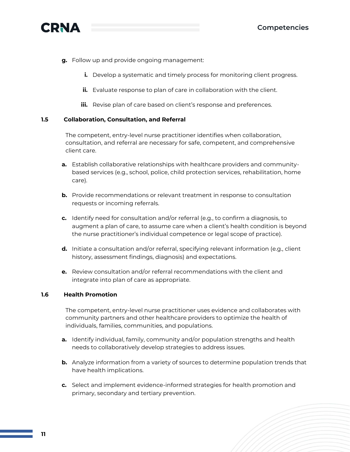

- **g.** Follow up and provide ongoing management:
	- **i.** Develop a systematic and timely process for monitoring client progress.
	- **ii.** Evaluate response to plan of care in collaboration with the client.
	- **iii.** Revise plan of care based on client's response and preferences.

#### **1.5 Collaboration, Consultation, and Referral**

The competent, entry-level nurse practitioner identifies when collaboration, consultation, and referral are necessary for safe, competent, and comprehensive client care.

- **a.** Establish collaborative relationships with healthcare providers and communitybased services (e.g., school, police, child protection services, rehabilitation, home care).
- **b.** Provide recommendations or relevant treatment in response to consultation requests or incoming referrals.
- **c.** Identify need for consultation and/or referral (e.g., to confirm a diagnosis, to augment a plan of care, to assume care when a client's health condition is beyond the nurse practitioner's individual competence or legal scope of practice).
- **d.** Initiate a consultation and/or referral, specifying relevant information (e.g., client history, assessment findings, diagnosis) and expectations.
- **e.** Review consultation and/or referral recommendations with the client and integrate into plan of care as appropriate.

#### **1.6 Health Promotion**

The competent, entry-level nurse practitioner uses evidence and collaborates with community partners and other healthcare providers to optimize the health of individuals, families, communities, and populations.

- **a.** Identify individual, family, community and/or population strengths and health needs to collaboratively develop strategies to address issues.
- **b.** Analyze information from a variety of sources to determine population trends that have health implications.
- **c.** Select and implement evidence-informed strategies for health promotion and primary, secondary and tertiary prevention.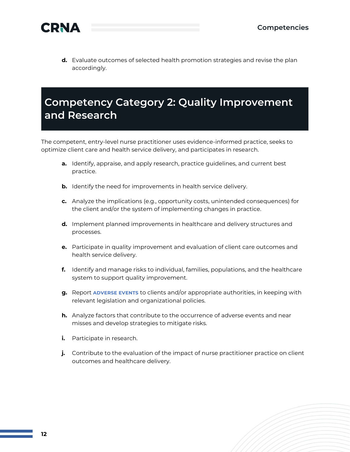

**d.** Evaluate outcomes of selected health promotion strategies and revise the plan accordingly.

## <span id="page-12-0"></span>**Competency Category 2: Quality Improvement and Research**

The competent, entry-level nurse practitioner uses evidence-informed practice, seeks to optimize client care and health service delivery, and participates in research.

- **a.** Identify, appraise, and apply research, practice guidelines, and current best practice.
- **b.** Identify the need for improvements in health service delivery.
- **c.** Analyze the implications (e.g., opportunity costs, unintended consequences) for the client and/or the system of implementing changes in practice.
- **d.** Implement planned improvements in healthcare and delivery structures and processes.
- **e.** Participate in quality improvement and evaluation of client care outcomes and health service delivery.
- **f.** Identify and manage risks to individual, families, populations, and the healthcare system to support quality improvement.
- **g.** Report **ADVERSE EVENTS** to clients and/or appropriate authorities, in keeping with relevant legislation and organizational policies.
- **h.** Analyze factors that contribute to the occurrence of adverse events and near misses and develop strategies to mitigate risks.
- **i.** Participate in research.
- **j.** Contribute to the evaluation of the impact of nurse practitioner practice on client outcomes and healthcare delivery.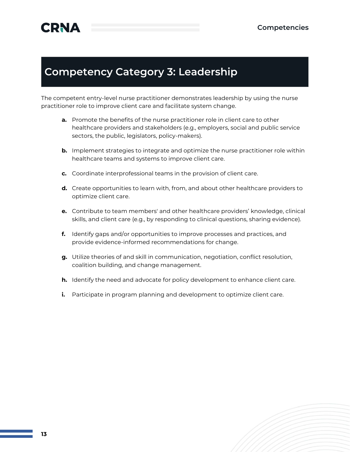### <span id="page-13-0"></span>**Competency Category 3: Leadership**

The competent entry-level nurse practitioner demonstrates leadership by using the nurse practitioner role to improve client care and facilitate system change.

- **a.** Promote the benefits of the nurse practitioner role in client care to other healthcare providers and stakeholders (e.g., employers, social and public service sectors, the public, legislators, policy-makers).
- **b.** Implement strategies to integrate and optimize the nurse practitioner role within healthcare teams and systems to improve client care.
- **c.** Coordinate interprofessional teams in the provision of client care.
- **d.** Create opportunities to learn with, from, and about other healthcare providers to optimize client care.
- **e.** Contribute to team members' and other healthcare providers' knowledge, clinical skills, and client care (e.g., by responding to clinical questions, sharing evidence).
- **f.** Identify gaps and/or opportunities to improve processes and practices, and provide evidence-informed recommendations for change.
- **g.** Utilize theories of and skill in communication, negotiation, conflict resolution, coalition building, and change management.
- **h.** Identify the need and advocate for policy development to enhance client care.
- **i.** Participate in program planning and development to optimize client care.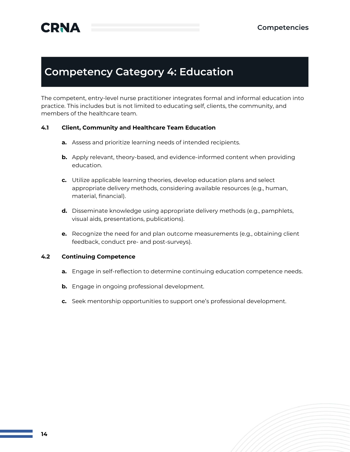### <span id="page-14-0"></span>**Competency Category 4: Education**

The competent, entry-level nurse practitioner integrates formal and informal education into practice. This includes but is not limited to educating self, clients, the community, and members of the healthcare team.

### **4.1 Client, Community and Healthcare Team Education**

- **a.** Assess and prioritize learning needs of intended recipients.
- **b.** Apply relevant, theory-based, and evidence-informed content when providing education.
- **c.** Utilize applicable learning theories, develop education plans and select appropriate delivery methods, considering available resources (e.g., human, material, financial).
- **d.** Disseminate knowledge using appropriate delivery methods (e.g., pamphlets, visual aids, presentations, publications).
- **e.** Recognize the need for and plan outcome measurements (e.g., obtaining client feedback, conduct pre- and post-surveys).

#### **4.2 Continuing Competence**

- **a.** Engage in self-reflection to determine continuing education competence needs.
- **b.** Engage in ongoing professional development.
- **c.** Seek mentorship opportunities to support one's professional development.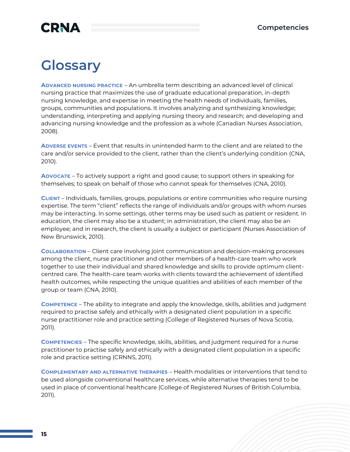## **CRNA**

## <span id="page-15-0"></span>**Glossary**

**ADVANCED NURSING PRACTICE** – An umbrella term describing an advanced level of clinical nursing practice that maximizes the use of graduate educational preparation, in-depth nursing knowledge, and expertise in meeting the health needs of individuals, families, groups, communities and populations. It involves analyzing and synthesizing knowledge; understanding, interpreting and applying nursing theory and research; and developing and advancing nursing knowledge and the profession as a whole (Canadian Nurses Association, 2008).

**ADVERSE EVENTS** – Event that results in unintended harm to the client and are related to the care and/or service provided to the client, rather than the client's underlying condition (CNA, 2010).

**ADVOCATE** – To actively support a right and good cause; to support others in speaking for themselves; to speak on behalf of those who cannot speak for themselves (CNA, 2010).

**CLIENT** – Individuals, families, groups, populations or entire communities who require nursing expertise. The term "client" reflects the range of individuals and/or groups with whom nurses may be interacting. In some settings, other terms may be used such as patient or resident. In education, the client may also be a student; in administration, the client may also be an employee; and in research, the client is usually a subject or participant (Nurses Association of New Brunswick, 2010).

**COLLABORATION** – Client care involving joint communication and decision-making processes among the client, nurse practitioner and other members of a health-care team who work together to use their individual and shared knowledge and skills to provide optimum clientcentred care. The health-care team works with clients toward the achievement of identified health outcomes, while respecting the unique qualities and abilities of each member of the group or team (CNA, 2010).

**COMPETENCE** – The ability to integrate and apply the knowledge, skills, abilities and judgment required to practise safely and ethically with a designated client population in a specific nurse practitioner role and practice setting (College of Registered Nurses of Nova Scotia, 2011).

**COMPETENCIES** – The specific knowledge, skills, abilities, and judgment required for a nurse practitioner to practise safely and ethically with a designated client population in a specific role and practice setting (CRNNS, 2011).

**COMPLEMENTARY AND ALTERNATIVE THERAPIES** – Health modalities or interventions that tend to be used alongside conventional healthcare services, while alternative therapies tend to be used in place of conventional healthcare (College of Registered Nurses of British Columbia, 2011).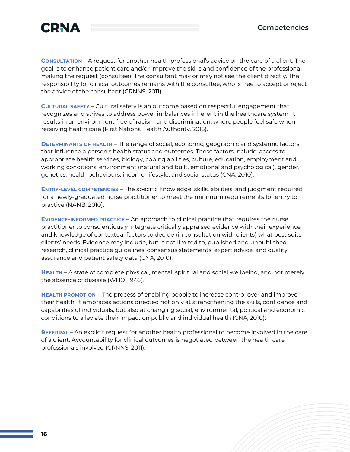

**CONSULTATION** – A request for another health professional's advice on the care of a client. The goal is to enhance patient care and/or improve the skills and confidence of the professional making the request (consultee). The consultant may or may not see the client directly. The responsibility for clinical outcomes remains with the consultee, who is free to accept or reject the advice of the consultant (CRNNS, 2011).

**CULTURAL SAFETY** – Cultural safety is an outcome based on respectful engagement that recognizes and strives to address power imbalances inherent in the healthcare system. It results in an environment free of racism and discrimination, where people feel safe when receiving health care (First Nations Health Authority, 2015).

**DETERMINANTS OF HEALTH** – The range of social, economic, geographic and systemic factors that influence a person's health status and outcomes. These factors include: access to appropriate health services, biology, coping abilities, culture, education, employment and working conditions, environment (natural and built, emotional and psychological), gender, genetics, health behaviours, income, lifestyle, and social status (CNA, 2010).

**ENTRY-LEVEL COMPETENCIES** – The specific knowledge, skills, abilities, and judgment required for a newly-graduated nurse practitioner to meet the minimum requirements for entry to practice (NANB, 2010).

**EVIDENCE-INFORMED PRACTICE** – An approach to clinical practice that requires the nurse practitioner to conscientiously integrate critically appraised evidence with their experience and knowledge of contextual factors to decide (in consultation with clients) what best suits clients' needs. Evidence may include, but is not limited to, published and unpublished research, clinical practice guidelines, consensus statements, expert advice, and quality assurance and patient safety data (CNA, 2010).

**HEALTH** – A state of complete physical, mental, spiritual and social wellbeing, and not merely the absence of disease (WHO, 1946).

**HEALTH PROMOTION** – The process of enabling people to increase control over and improve their health. It embraces actions directed not only at strengthening the skills, confidence and capabilities of individuals, but also at changing social, environmental, political and economic conditions to alleviate their impact on public and individual health (CNA, 2010).

**REFERRAL** – An explicit request for another health professional to become involved in the care of a client. Accountability for clinical outcomes is negotiated between the health care professionals involved (CRNNS, 2011).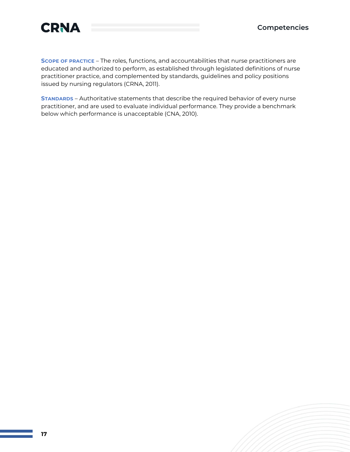

**SCOPE OF PRACTICE** – The roles, functions, and accountabilities that nurse practitioners are educated and authorized to perform, as established through legislated definitions of nurse practitioner practice, and complemented by standards, guidelines and policy positions issued by nursing regulators (CRNA, 2011).

**STANDARDS** – Authoritative statements that describe the required behavior of every nurse practitioner, and are used to evaluate individual performance. They provide a benchmark below which performance is unacceptable (CNA, 2010).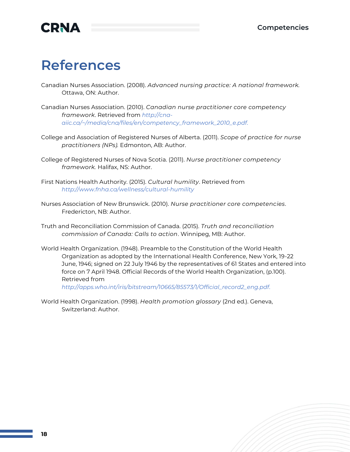

## <span id="page-18-0"></span>**References**

- Canadian Nurses Association. (2008). *Advanced nursing practice: A national framework.* Ottawa, ON: Author.
- Canadian Nurses Association. (2010). *Canadian nurse practitioner core competency framework*. Retrieved from *[http://cna](http://cna-aiic.ca/~/media/cna/files/en/competency_framework_2010_e.pdf)[aiic.ca/~/media/cna/files/en/competency\\_framework\\_2010\\_e.pdf.](http://cna-aiic.ca/~/media/cna/files/en/competency_framework_2010_e.pdf)*
- College and Association of Registered Nurses of Alberta. (2011). *Scope of practice for nurse practitioners (NPs).* Edmonton, AB: Author.
- College of Registered Nurses of Nova Scotia. (2011). *Nurse practitioner competency framework.* Halifax, NS: Author.
- First Nations Health Authority. (2015). *Cultural humility*. Retrieved from *<http://www.fnha.ca/wellness/cultural-humility>*
- Nurses Association of New Brunswick. (2010). *Nurse practitioner core competencies*. Fredericton, NB: Author.
- Truth and Reconciliation Commission of Canada. (2015). *Truth and reconciliation commission of Canada: Calls to action*. Winnipeg, MB: Author.
- World Health Organization. (1948). Preamble to the Constitution of the World Health Organization as adopted by the International Health Conference, New York, 19-22 June, 1946; signed on 22 July 1946 by the representatives of 61 States and entered into force on 7 April 1948. Official Records of the World Health Organization, (p.100). Retrieved from

*[http://apps.who.int/iris/bitstream/10665/85573/1/Official\\_record2\\_eng.pdf.](http://apps.who.int/iris/bitstream/10665/85573/1/Official_record2_eng.pdf)*

World Health Organization. (1998). *Health promotion glossary* (2nd ed.). Geneva, Switzerland: Author.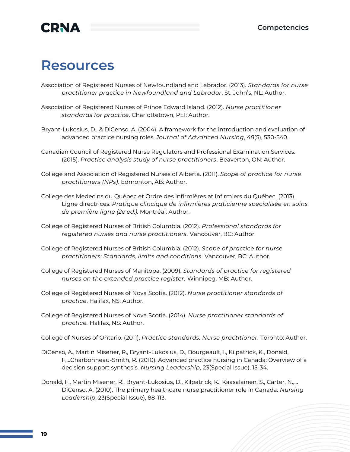## **CRNA**

## <span id="page-19-0"></span>**Resources**

Association of Registered Nurses of Newfoundland and Labrador. (2013). *Standards for nurse practitioner practice in Newfoundland and Labrador*. St. John's, NL: Author.

- Association of Registered Nurses of Prince Edward Island. (2012). *Nurse practitioner standards for practice*. Charlottetown, PEI: Author.
- Bryant-Lukosius, D., & DiCenso, A. (2004). A framework for the introduction and evaluation of advanced practice nursing roles. *Journal of Advanced Nursing*, *48*(5), 530-540.
- Canadian Council of Registered Nurse Regulators and Professional Examination Services. (2015). *[Practice analysis study of nurse practitioners](http://www.ccrnr.ca/assets/ccrnr-practice-analysis-study-of-nurse-practitioners-report---final.pdf)*. Beaverton, ON: Author.
- College and Association of Registered Nurses of Alberta. (2011). *[Scope of practice for](http://www.nurses.ab.ca/content/dam/carna/pdfs/DocumentList/Standards/NP_ScopeOfPractice_Sep2011.pdf) [nurse](http://www.nurses.ab.ca/content/dam/carna/pdfs/DocumentList/Standards/NP_ScopeOfPractice_Sep2011.pdf)  [practitioners \(NPs\)](http://www.nurses.ab.ca/content/dam/carna/pdfs/DocumentList/Standards/NP_ScopeOfPractice_Sep2011.pdf)*. Edmonton, AB: Author.
- College des Medecins du Québec et Ordre des infirmières at infirmiers du Québec. (2013). Ligne directrices: *Pratique clincique de infirmières praticienne specialisée en soins de première ligne (2e ed.).* Montréal: Author.
- College of Registered Nurses of British Columbia. (2012). *[Professional standards for](https://crnbc.ca/Standards/Lists/StandardResources/128ProfessionalStandards.pdf) [registered nurses and nurse practitioners.](https://crnbc.ca/Standards/Lists/StandardResources/128ProfessionalStandards.pdf)* Vancouver, BC: Author.
- College of Registered Nurses of British Columbia. (2012). *[Scope of practice for nurse](https://www.crnbc.ca/Standards/Lists/StandardResources/688ScopeforNPs.pdf) [practitioners: Standards, limits and conditions.](https://www.crnbc.ca/Standards/Lists/StandardResources/688ScopeforNPs.pdf)* Vancouver, BC: Author.
- College of Registered Nurses of Manitoba. (2009). *[Standards of practice for registered](https://www.crnm.mb.ca/uploads/document/document_file_90.pdf?t=1438266320) [nurses on the extended practice register.](https://www.crnm.mb.ca/uploads/document/document_file_90.pdf?t=1438266320)* Winnipeg, MB: Author.
- College of Registered Nurses of Nova Scotia. (2012). *Nurse practitioner standards of practice*. Halifax, NS: Author.
- College of Registered Nurses of Nova Scotia. (2014). *[Nurse practitioner standards of](http://crnns.ca/wp-content/uploads/2015/02/NPStandards2014-WEB.pdf) [practice.](http://crnns.ca/wp-content/uploads/2015/02/NPStandards2014-WEB.pdf)* Halifax, NS: Author.

College of Nurses of Ontario. (2011). *[Practice standards: Nurse practitioner.](https://www.cno.org/globalassets/docs/prac/41038_strdrnec.pdf)* Toronto: Author.

- DiCenso, A., Martin Misener, R., Bryant-Lukosius, D., Bourgeault, I., Kilpatrick, K., Donald, F,…Charbonneau-Smith, R. (2010). Advanced practice nursing in Canada: Overview of a decision support synthesis*. Nursing Leadership*, 23(Special Issue), 15-34.
- Donald, F., Martin Misener, R., Bryant-Lukosius, D., Kilpatrick, K., Kaasalainen, S., Carter, N.,… DiCenso, A. (2010). The primary healthcare nurse practitioner role in Canada. *Nursing Leadership*, 23(Special Issue), 88-113.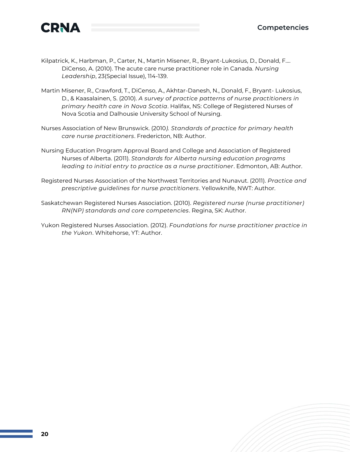

- Kilpatrick, K., Harbman, P., Carter, N., Martin Misener, R., Bryant-Lukosius, D., Donald, F.… DiCenso, A. (2010). The acute care nurse practitioner role in Canada. *Nursing Leadership*, 23(Special Issue), 114-139.
- Martin Misener, R., Crawford, T., DiCenso, A., Akhtar-Danesh, N., Donald, F., Bryant- Lukosius, D., & Kaasalainen, S. (2010). *A survey of practice patterns of nurse practitioners in primary health care in Nova Scotia*. Halifax, NS: College of Registered Nurses of Nova Scotia and Dalhousie University School of Nursing.
- Nurses Association of New Brunswick. (2010*). [Standards of practice for primary health](http://www.nanb.nb.ca/media/resource/NANB-NPStandards-E-2016-05.pdf) [care nurse practitioners](http://www.nanb.nb.ca/media/resource/NANB-NPStandards-E-2016-05.pdf)*. Fredericton, NB: Author.
- Nursing Education Program Approval Board and College and Association of Registered Nurses of Alberta. (2011). *[Standards for Alberta nursing education programs](http://www.nurses.ab.ca/content/dam/carna/pdfs/DocumentList/Standards/NP_InitialEntry_NEPAB_Standards_Jan2011.pdf)  [leading](http://www.nurses.ab.ca/content/dam/carna/pdfs/DocumentList/Standards/NP_InitialEntry_NEPAB_Standards_Jan2011.pdf) [to initial entry to practice as a nurse practitioner](http://www.nurses.ab.ca/content/dam/carna/pdfs/DocumentList/Standards/NP_InitialEntry_NEPAB_Standards_Jan2011.pdf)*. Edmonton, AB: Author.
- Registered Nurses Association of the Northwest Territories and Nunavut. (2011). *[Practice and](http://www.rnantnu.ca/sites/default/files/NT%20NP%20Practice%20and%20Presriptive%20Guidelines%20for%20Nurse%20Practitioners.pdf)  [prescriptive guidelines for nurse practitioners](http://www.rnantnu.ca/sites/default/files/NT%20NP%20Practice%20and%20Presriptive%20Guidelines%20for%20Nurse%20Practitioners.pdf)*. Yellowknife, NWT: Author.
- Saskatchewan Registered Nurses Association. (2010). *Registered nurse (nurse practitioner) RN(NP) standards and core competencies*. Regina, SK: Author.
- Yukon Registered Nurses Association. (2012). *Foundations for nurse practitioner practice in the Yukon*. Whitehorse, YT: Author.

**20**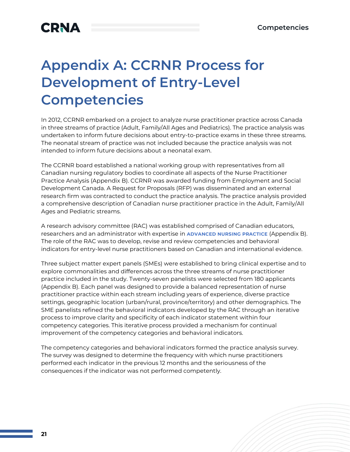## **CRNA**

## <span id="page-21-0"></span>**Appendix A: CCRNR Process for Development of Entry-Level Competencies**

In 2012, CCRNR embarked on a project to analyze nurse practitioner practice across Canada in three streams of practice (Adult, Family/All Ages and Pediatrics). The practice analysis was undertaken to inform future decisions about entry-to-practice exams in these three streams. The neonatal stream of practice was not included because the practice analysis was not intended to inform future decisions about a neonatal exam.

The CCRNR board established a national working group with representatives from all Canadian nursing regulatory bodies to coordinate all aspects of the Nurse Practitioner Practice Analysis (Appendix B). CCRNR was awarded funding from Employment and Social Development Canada. A Request for Proposals (RFP) was disseminated and an external research firm was contracted to conduct the practice analysis. The practice analysis provided a comprehensive description of Canadian nurse practitioner practice in the Adult, Family/All Ages and Pediatric streams.

A research advisory committee (RAC) was established comprised of Canadian educators, researchers and an administrator with expertise in **ADVANCED NURSING PRACTICE** (Appendix B). The role of the RAC was to develop, revise and review competencies and behavioral indicators for entry-level nurse practitioners based on Canadian and international evidence.

Three subject matter expert panels (SMEs) were established to bring clinical expertise and to explore commonalities and differences across the three streams of nurse practitioner practice included in the study. Twenty-seven panelists were selected from 180 applicants (Appendix B). Each panel was designed to provide a balanced representation of nurse practitioner practice within each stream including years of experience, diverse practice settings, geographic location (urban/rural, province/territory) and other demographics. The SME panelists refined the behavioral indicators developed by the RAC through an iterative process to improve clarity and specificity of each indicator statement within four competency categories. This iterative process provided a mechanism for continual improvement of the competency categories and behavioral indicators.

The competency categories and behavioral indicators formed the practice analysis survey. The survey was designed to determine the frequency with which nurse practitioners performed each indicator in the previous 12 months and the seriousness of the consequences if the indicator was not performed competently.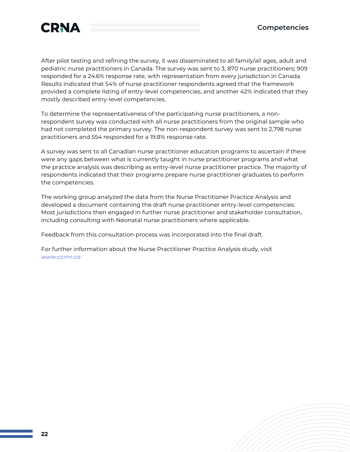



After pilot testing and refining the survey, it was disseminated to all family/all ages, adult and pediatric nurse practitioners in Canada. The survey was sent to 3, 870 nurse practitioners; 909 responded for a 24.6% response rate, with representation from every jurisdiction in Canada. Results indicated that 54% of nurse practitioner respondents agreed that the framework provided a complete listing of entry-level competencies, and another 42% indicated that they mostly described entry-level competencies.

To determine the representativeness of the participating nurse practitioners, a nonrespondent survey was conducted with all nurse practitioners from the original sample who had not completed the primary survey. The non-respondent survey was sent to 2,798 nurse practitioners and 554 responded for a 19.8% response rate.

A survey was sent to all Canadian nurse practitioner education programs to ascertain if there were any gaps between what is currently taught in nurse practitioner programs and what the practice analysis was describing as entry-level nurse practitioner practice. The majority of respondents indicated that their programs prepare nurse practitioner graduates to perform the competencies.

The working group analyzed the data from the Nurse Practitioner Practice Analysis and developed a document containing the draft nurse practitioner entry-level competencies. Most jurisdictions then engaged in further nurse practitioner and stakeholder consultation, including consulting with Neonatal nurse practitioners where applicable.

Feedback from this consultation process was incorporated into the final draft.

For further information about the Nurse Practitioner Practice Analysis study, visit *[www.ccrnr.ca](http://www.ccrnr.ca/)*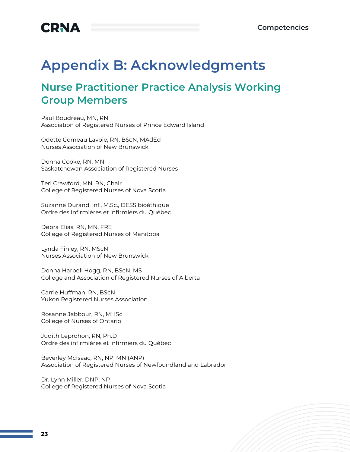

## <span id="page-23-0"></span>**Appendix B: Acknowledgments**

### <span id="page-23-1"></span>**Nurse Practitioner Practice Analysis Working Group Members**

Paul Boudreau, MN, RN Association of Registered Nurses of Prince Edward Island

Odette Comeau Lavoie, RN, BScN, MAdEd Nurses Association of New Brunswick

Donna Cooke, RN, MN Saskatchewan Association of Registered Nurses

Teri Crawford, MN, RN, Chair College of Registered Nurses of Nova Scotia

Suzanne Durand, inf., M.Sc., DESS bioéthique Ordre des infirmières et infirmiers du Québec

Debra Elias, RN, MN, FRE College of Registered Nurses of Manitoba

Lynda Finley, RN, MScN Nurses Association of New Brunswick

Donna Harpell Hogg, RN, BScN, MS College and Association of Registered Nurses of Alberta

Carrie Huffman, RN, BScN Yukon Registered Nurses Association

Rosanne Jabbour, RN, MHSc College of Nurses of Ontario

Judith Leprohon, RN, Ph.D Ordre des infirmières et infirmiers du Québec

Beverley McIsaac, RN, NP, MN (ANP) Association of Registered Nurses of Newfoundland and Labrador

Dr. Lynn Miller, DNP, NP College of Registered Nurses of Nova Scotia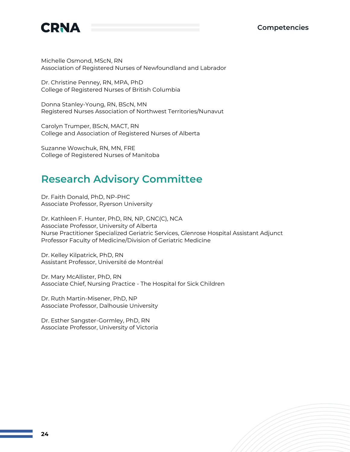

Michelle Osmond, MScN, RN Association of Registered Nurses of Newfoundland and Labrador

Dr. Christine Penney, RN, MPA, PhD College of Registered Nurses of British Columbia

Donna Stanley-Young, RN, BScN, MN Registered Nurses Association of Northwest Territories/Nunavut

Carolyn Trumper, BScN, MACT, RN College and Association of Registered Nurses of Alberta

Suzanne Wowchuk, RN, MN, FRE College of Registered Nurses of Manitoba

### <span id="page-24-0"></span>**Research Advisory Committee**

Dr. Faith Donald, PhD, NP-PHC Associate Professor, Ryerson University

Dr. Kathleen F. Hunter, PhD, RN, NP, GNC(C), NCA Associate Professor, University of Alberta Nurse Practitioner Specialized Geriatric Services, Glenrose Hospital Assistant Adjunct Professor Faculty of Medicine/Division of Geriatric Medicine

Dr. Kelley Kilpatrick, PhD, RN Assistant Professor, Université de Montréal

Dr. Mary McAllister, PhD, RN Associate Chief, Nursing Practice - The Hospital for Sick Children

Dr. Ruth Martin-Misener, PhD, NP Associate Professor, Dalhousie University

Dr. Esther Sangster-Gormley, PhD, RN Associate Professor, University of Victoria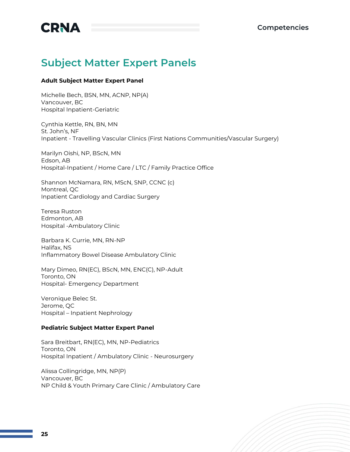

## <span id="page-25-0"></span>**Subject Matter Expert Panels**

#### **Adult Subject Matter Expert Panel**

Michelle Bech, BSN, MN, ACNP, NP(A) Vancouver, BC Hospital Inpatient-Geriatric

Cynthia Kettle, RN, BN, MN St. John's, NF Inpatient - Travelling Vascular Clinics (First Nations Communities/Vascular Surgery)

Marilyn Oishi, NP, BScN, MN Edson, AB Hospital-Inpatient / Home Care / LTC / Family Practice Office

Shannon McNamara, RN, MScN, SNP, CCNC (c) Montreal, QC Inpatient Cardiology and Cardiac Surgery

Teresa Ruston Edmonton, AB Hospital -Ambulatory Clinic

Barbara K. Currie, MN, RN-NP Halifax, NS Inflammatory Bowel Disease Ambulatory Clinic

Mary Dimeo, RN(EC), BScN, MN, ENC(C), NP-Adult Toronto, ON Hospital- Emergency Department

Veronique Belec St. Jerome, QC Hospital – Inpatient Nephrology

#### **Pediatric Subject Matter Expert Panel**

Sara Breitbart, RN(EC), MN, NP-Pediatrics Toronto, ON Hospital Inpatient / Ambulatory Clinic - Neurosurgery

Alissa Collingridge, MN, NP(P) Vancouver, BC NP Child & Youth Primary Care Clinic / Ambulatory Care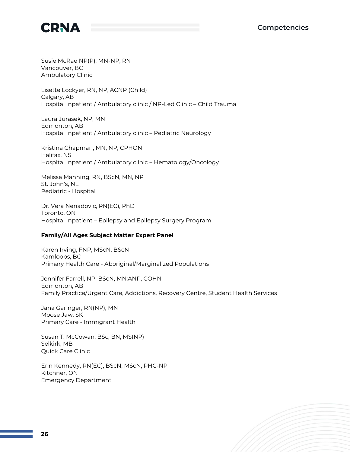

Susie McRae NP(P), MN-NP, RN Vancouver, BC Ambulatory Clinic

Lisette Lockyer, RN, NP, ACNP (Child) Calgary, AB Hospital Inpatient / Ambulatory clinic / NP-Led Clinic – Child Trauma

Laura Jurasek, NP, MN Edmonton, AB Hospital Inpatient / Ambulatory clinic – Pediatric Neurology

Kristina Chapman, MN, NP, CPHON Halifax, NS Hospital Inpatient / Ambulatory clinic – Hematology/Oncology

Melissa Manning, RN, BScN, MN, NP St. John's, NL Pediatric - Hospital

Dr. Vera Nenadovic, RN(EC), PhD Toronto, ON Hospital Inpatient – Epilepsy and Epilepsy Surgery Program

### **Family/All Ages Subject Matter Expert Panel**

Karen Irving, FNP, MScN, BScN Kamloops, BC Primary Health Care - Aboriginal/Marginalized Populations

Jennifer Farrell, NP, BScN, MN:ANP, COHN Edmonton, AB Family Practice/Urgent Care, Addictions, Recovery Centre, Student Health Services

Jana Garinger, RN(NP), MN Moose Jaw, SK Primary Care - Immigrant Health

Susan T. McCowan, BSc, BN, MS(NP) Selkirk, MB Quick Care Clinic

Erin Kennedy, RN(EC), BScN, MScN, PHC-NP Kitchner, ON Emergency Department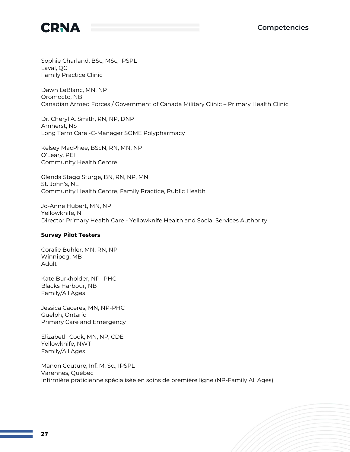

Sophie Charland, BSc, MSc, IPSPL Laval, QC Family Practice Clinic

Dawn LeBlanc, MN, NP Oromocto, NB Canadian Armed Forces / Government of Canada Military Clinic – Primary Health Clinic

Dr. Cheryl A. Smith, RN, NP, DNP Amherst, NS Long Term Care -C-Manager SOME Polypharmacy

Kelsey MacPhee, BScN, RN, MN, NP O'Leary, PEI Community Health Centre

Glenda Stagg Sturge, BN, RN, NP, MN St. John's, NL Community Health Centre, Family Practice, Public Health

Jo-Anne Hubert, MN, NP Yellowknife, NT Director Primary Health Care - Yellowknife Health and Social Services Authority

#### **Survey Pilot Testers**

Coralie Buhler, MN, RN, NP Winnipeg, MB Adult

Kate Burkholder, NP- PHC Blacks Harbour, NB Family/All Ages

Jessica Caceres, MN, NP-PHC Guelph, Ontario Primary Care and Emergency

Elizabeth Cook, MN, NP, CDE Yellowknife, NWT Family/All Ages

Manon Couture, Inf. M. Sc., IPSPL Varennes, Québec Infirmière praticienne spécialisée en soins de première ligne (NP-Family All Ages)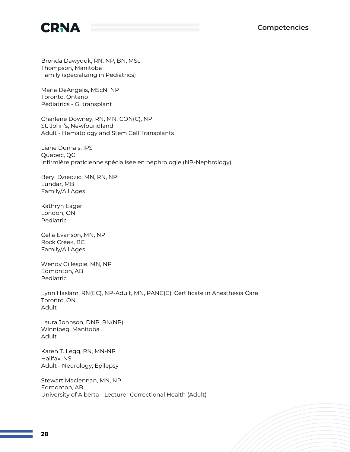

Brenda Dawyduk, RN, NP, BN, MSc Thompson, Manitoba Family (specializing in Pediatrics)

Maria DeAngelis, MScN, NP Toronto, Ontario Pediatrics - GI transplant

Charlene Downey, RN, MN, CON(C), NP St. John's, Newfoundland Adult - Hematology and Stem Cell Transplants

Liane Dumais, IPS Quebec, QC Infirmière praticienne spécialisée en néphrologie (NP-Nephrology)

Beryl Dziedzic, MN, RN, NP Lundar, MB Family/All Ages

Kathryn Eager London, ON Pediatric

Celia Evanson, MN, NP Rock Creek, BC Family/All Ages

Wendy Gillespie, MN, NP Edmonton, AB Pediatric

Lynn Haslam, RN(EC), NP-Adult, MN, PANC(C), Certificate in Anesthesia Care Toronto, ON Adult

Laura Johnson, DNP, RN(NP) Winnipeg, Manitoba Adult

Karen T. Legg, RN, MN-NP Halifax, NS Adult - Neurology; Epilepsy

Stewart Maclennan, MN, NP Edmonton, AB University of Alberta - Lecturer Correctional Health (Adult)